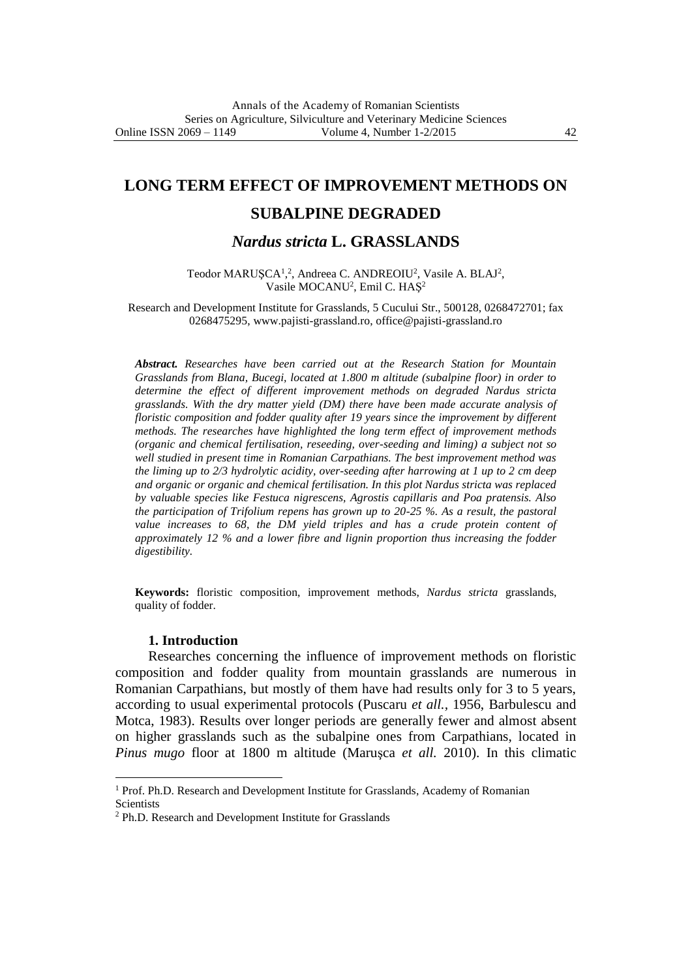# **LONG TERM EFFECT OF IMPROVEMENT METHODS ON**

# **SUBALPINE DEGRADED**

# *Nardus stricta* **L. GRASSLANDS**

Teodor MARUȘCA<sup>1</sup>,<sup>2</sup>, Andreea C. ANDREOIU<sup>2</sup>, Vasile A. BLAJ<sup>2</sup>, Vasile MOCANU<sup>2</sup>, Emil C. HAŞ<sup>2</sup>

Research and Development Institute for Grasslands, 5 Cucului Str., 500128, 0268472701; fax 0268475295, www.pajisti-grassland.ro, office@pajisti-grassland.ro

*Abstract. Researches have been carried out at the Research Station for Mountain Grasslands from Blana, Bucegi, located at 1.800 m altitude (subalpine floor) in order to determine the effect of different improvement methods on degraded Nardus stricta grasslands. With the dry matter yield (DM) there have been made accurate analysis of floristic composition and fodder quality after 19 years since the improvement by different methods. The researches have highlighted the long term effect of improvement methods (organic and chemical fertilisation, reseeding, over-seeding and liming) a subject not so well studied in present time in Romanian Carpathians. The best improvement method was the liming up to 2/3 hydrolytic acidity, over-seeding after harrowing at 1 up to 2 cm deep and organic or organic and chemical fertilisation. In this plot Nardus stricta was replaced by valuable species like Festuca nigrescens, Agrostis capillaris and Poa pratensis. Also the participation of Trifolium repens has grown up to 20-25 %. As a result, the pastoral value increases to 68, the DM yield triples and has a crude protein content of approximately 12 % and a lower fibre and lignin proportion thus increasing the fodder digestibility.* 

**Keywords:** floristic composition, improvement methods, *Nardus stricta* grasslands, quality of fodder.

### **1. Introduction**

 $\ddot{\phantom{a}}$ 

Researches concerning the influence of improvement methods on floristic composition and fodder quality from mountain grasslands are numerous in Romanian Carpathians, but mostly of them have had results only for 3 to 5 years, according to usual experimental protocols (Puscaru *et all.,* 1956, Barbulescu and Motca, 1983). Results over longer periods are generally fewer and almost absent on higher grasslands such as the subalpine ones from Carpathians, located in *Pinus mugo* floor at 1800 m altitude (Maruşca *et all.* 2010). In this climatic

<sup>&</sup>lt;sup>1</sup> Prof. Ph.D. Research and Development Institute for Grasslands, Academy of Romanian **Scientists** 

<sup>2</sup> Ph.D. Research and Development Institute for Grasslands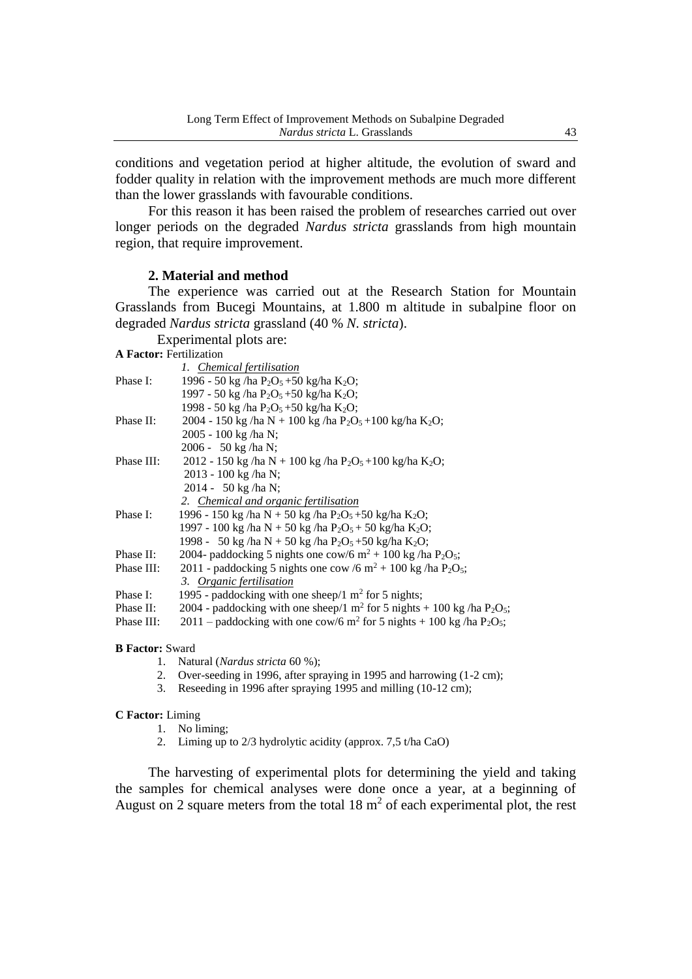conditions and vegetation period at higher altitude, the evolution of sward and fodder quality in relation with the improvement methods are much more different than the lower grasslands with favourable conditions.

For this reason it has been raised the problem of researches carried out over longer periods on the degraded *Nardus stricta* grasslands from high mountain region, that require improvement.

## **2. Material and method**

The experience was carried out at the Research Station for Mountain Grasslands from Bucegi Mountains, at 1.800 m altitude in subalpine floor on degraded *Nardus stricta* grassland (40 % *N. stricta*).

Experimental plots are:

**A Factor:** Fertilization

|            | 1. Chemical fertilisation                                                                                |
|------------|----------------------------------------------------------------------------------------------------------|
| Phase I:   | 1996 - 50 kg /ha P <sub>2</sub> O <sub>5</sub> + 50 kg/ha K <sub>2</sub> O;                              |
|            | 1997 - 50 kg/ha P <sub>2</sub> O <sub>5</sub> + 50 kg/ha K <sub>2</sub> O;                               |
|            | 1998 - 50 kg/ha P <sub>2</sub> O <sub>5</sub> + 50 kg/ha K <sub>2</sub> O;                               |
| Phase II:  | 2004 - 150 kg/ha N + 100 kg/ha P <sub>2</sub> O <sub>5</sub> + 100 kg/ha K <sub>2</sub> O;               |
|            | 2005 - 100 kg/ha N;                                                                                      |
|            | 2006 - 50 kg/ha N;                                                                                       |
| Phase III: | 2012 - 150 kg/ha N + 100 kg/ha P <sub>2</sub> O <sub>5</sub> + 100 kg/ha K <sub>2</sub> O;               |
|            | 2013 - 100 kg /ha N;                                                                                     |
|            | 2014 - 50 kg/ha N;                                                                                       |
|            | 2. Chemical and organic fertilisation                                                                    |
| Phase I:   | 1996 - 150 kg /ha N + 50 kg /ha P <sub>2</sub> O <sub>5</sub> +50 kg/ha K <sub>2</sub> O;                |
|            | 1997 - 100 kg/ha N + 50 kg/ha P <sub>2</sub> O <sub>5</sub> + 50 kg/ha K <sub>2</sub> O;                 |
|            | 1998 - 50 kg/ha N + 50 kg/ha P <sub>2</sub> O <sub>5</sub> + 50 kg/ha K <sub>2</sub> O;                  |
| Phase II:  | 2004- paddocking 5 nights one cow/6 $m^2$ + 100 kg/ha P <sub>2</sub> O <sub>5</sub> ;                    |
| Phase III: | 2011 - paddocking 5 nights one cow /6 m <sup>2</sup> + 100 kg /ha P <sub>2</sub> O <sub>5</sub> ;        |
|            | 3. Organic fertilisation                                                                                 |
| Phase I:   | 1995 - paddocking with one sheep/1 $m2$ for 5 nights;                                                    |
| Phase II:  | 2004 - paddocking with one sheep/1 m <sup>2</sup> for 5 nights + 100 kg /ha $P_2O_5$ ;                   |
| Phase III: | 2011 – paddocking with one cow/6 m <sup>2</sup> for 5 nights + 100 kg/ha P <sub>2</sub> O <sub>5</sub> ; |
|            |                                                                                                          |

#### **B Factor:** Sward

- 1. Natural (*Nardus stricta* 60 %);
- 2. Over-seeding in 1996, after spraying in 1995 and harrowing (1-2 cm);
- 3. Reseeding in 1996 after spraying 1995 and milling (10-12 cm);

#### **C Factor:** Liming

- 1. No liming;
- 2. Liming up to 2/3 hydrolytic acidity (approx. 7,5 t/ha CaO)

The harvesting of experimental plots for determining the yield and taking the samples for chemical analyses were done once a year, at a beginning of August on 2 square meters from the total  $18 \text{ m}^2$  of each experimental plot, the rest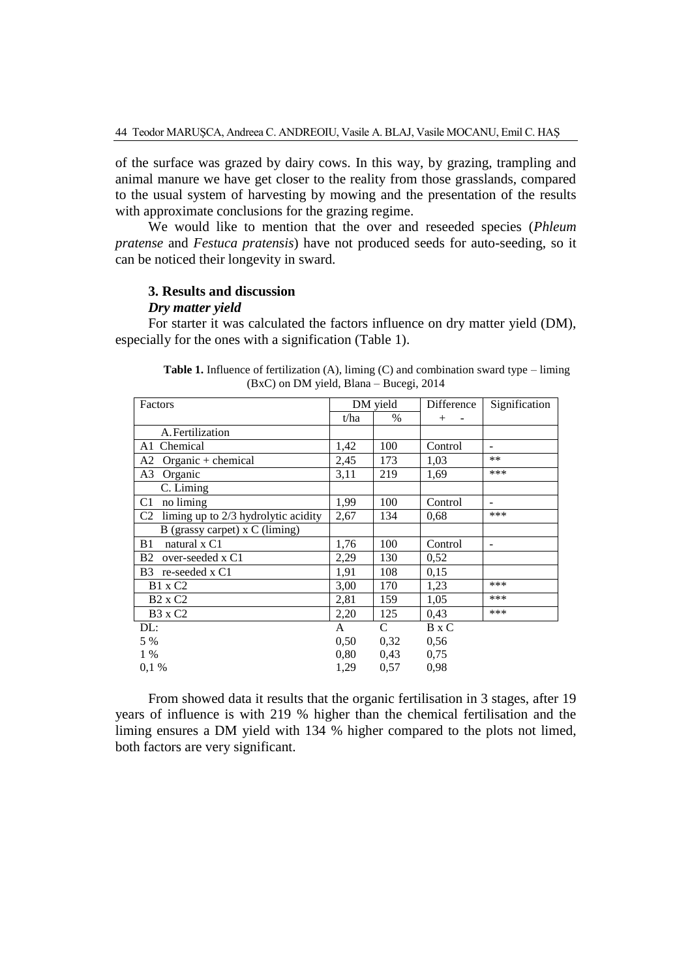of the surface was grazed by dairy cows. In this way, by grazing, trampling and animal manure we have get closer to the reality from those grasslands, compared to the usual system of harvesting by mowing and the presentation of the results with approximate conclusions for the grazing regime.

We would like to mention that the over and reseeded species (*Phleum pratense* and *Festuca pratensis*) have not produced seeds for auto-seeding, so it can be noticed their longevity in sward.

## **3. Results and discussion**

#### *Dry matter yield*

For starter it was calculated the factors influence on dry matter yield (DM), especially for the ones with a signification (Table 1).

| Factors                                               | DM yield |      | Difference | Signification |
|-------------------------------------------------------|----------|------|------------|---------------|
|                                                       | t/ha     | $\%$ | $^{+}$     |               |
| A. Fertilization                                      |          |      |            |               |
| Chemical<br>A1                                        | 1,42     | 100  | Control    | ۰             |
| A2<br>Organic $+$ chemical                            | 2,45     | 173  | 1,03       | $***$         |
| A3<br>Organic                                         | 3,11     | 219  | 1,69       | ***           |
| C. Liming                                             |          |      |            |               |
| no liming<br>C <sub>1</sub>                           | 1,99     | 100  | Control    | ۰             |
| C <sub>2</sub><br>liming up to 2/3 hydrolytic acidity | 2,67     | 134  | 0.68       | ***           |
| B (grassy carpet) x C (liming)                        |          |      |            |               |
| natural x C1<br>B1                                    | 1,76     | 100  | Control    | ۰             |
| B2<br>over-seeded x C1                                | 2,29     | 130  | 0,52       |               |
| B3 re-seeded x C1                                     | 1,91     | 108  | 0,15       |               |
| <b>B1</b> x C <sub>2</sub>                            | 3,00     | 170  | 1,23       | ***           |
| $B2 \times C2$                                        | 2,81     | 159  | 1,05       | ***           |
| <b>B3</b> x C2                                        | 2,20     | 125  | 0,43       | ***           |
| DL:                                                   | A        | C    | B x C      |               |
| 5 %                                                   | 0,50     | 0,32 | 0,56       |               |
| $1\%$                                                 | 0.80     | 0.43 | 0.75       |               |
| 0.1%                                                  | 1,29     | 0,57 | 0,98       |               |

Table 1. Influence of fertilization (A), liming (C) and combination sward type – liming (BxC) on DM yield, Blana – Bucegi, 2014

From showed data it results that the organic fertilisation in 3 stages, after 19 years of influence is with 219 % higher than the chemical fertilisation and the liming ensures a DM yield with 134 % higher compared to the plots not limed, both factors are very significant.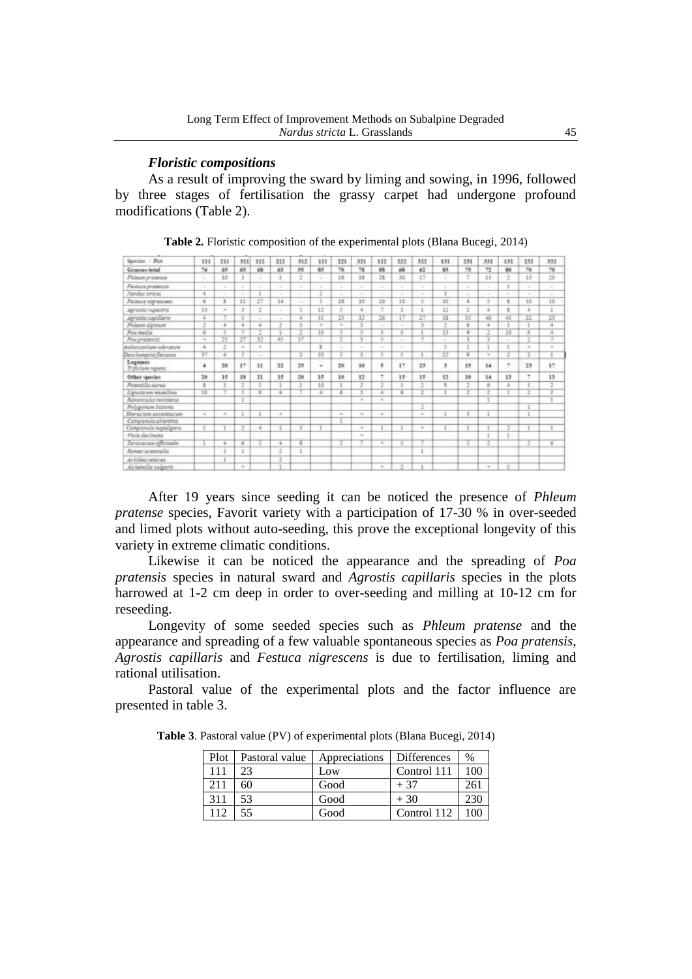## *Floristic compositions*

As a result of improving the sward by liming and sowing, in 1996, followed by three stages of fertilisation the grassy carpet had undergone profound modifications (Table 2).

| Species / Mon                               | 111          | 233                                                                                            | 311           | 111           | 212                                                                 | 312    | 121   | 223                                                                 | 331                                                                                            | 111                                                                                            | 222    | 322            | 131             | 231    | 331    | 132       | 332    | 332    |
|---------------------------------------------|--------------|------------------------------------------------------------------------------------------------|---------------|---------------|---------------------------------------------------------------------|--------|-------|---------------------------------------------------------------------|------------------------------------------------------------------------------------------------|------------------------------------------------------------------------------------------------|--------|----------------|-----------------|--------|--------|-----------|--------|--------|
| Gramer tetal                                | 76           | 65                                                                                             | ES.           | #B            | 63                                                                  | 95     | 85    | 78                                                                  | TR                                                                                             | St.                                                                                            | 63.    | 62             | \$5             | 78     | 72     | <b>NA</b> | 76     | 70     |
| Phinum protenze                             | $\sim$       | 38                                                                                             | ä.            | $\sim$        | ĭ                                                                   | ÷      | ۰     | th                                                                  | 19                                                                                             | 28                                                                                             | 30     | 17             | ×               | ×      | 11     | ı         | 11     | 20     |
| Festura anguiera                            | 16           | $\frac{1}{2} \left( \frac{1}{2} \right) \left( \frac{1}{2} \right)$                            | v.            | ×             | $\sim$                                                              | $\sim$ | ÷     | $\sim$                                                              | $\sim$                                                                                         | $\sim$                                                                                         | $\sim$ | $\lambda$      | a.              | $\sim$ | $\sim$ |           |        | $\sim$ |
| Nandur Jeraniu                              | ٠            | $\sim$                                                                                         | w.            |               | $\sim$                                                              | $\sim$ | ÷     | $\sim$                                                              | ÷                                                                                              | $\frac{1}{2} \left( \frac{1}{2} \right) \left( \frac{1}{2} \right) \left( \frac{1}{2} \right)$ | $\sim$ | $\sim$         | 3:1             | $\sim$ | ÷      |           | ÷      | $\sim$ |
| Fictura rigrescent                          | s            | x                                                                                              | 11            | 27            | 14                                                                  | $\sim$ |       | tit                                                                 | 10                                                                                             | 29                                                                                             | $10-$  | ÷              | 10              | 4      |        | ٠         | 13     | 30     |
| <b>APTURE FILMITEL</b>                      | 13.          | $\sim$                                                                                         | 3             | ż             | $\sim$                                                              | 3      | 12    | x                                                                   | 4                                                                                              | ÷                                                                                              |        |                | 12              | z      | ä      | ٠         | ٠      |        |
| Agreem capillars                            |              |                                                                                                | ÷             | s.            | $\sim$                                                              | s      | 1.5   | B                                                                   | 33                                                                                             | 39                                                                                             |        |                | $\overline{15}$ | π      | 48     | 43        | 33     | 這      |
| Poleum agrinum                              |              |                                                                                                | ÷             | 4             |                                                                     |        | ۰     | $\frac{1}{2} \left( \frac{1}{2} \right) \left( \frac{1}{2} \right)$ |                                                                                                |                                                                                                | $\sim$ |                | ×.              | ë      | ż      |           |        |        |
| Pos wedia                                   | 8            |                                                                                                | ч             | -16           |                                                                     |        | 18    |                                                                     |                                                                                                |                                                                                                |        |                | 13              | ٠      |        | 10        | 6      | ä      |
| <b>Pragmatentit</b>                         | $\sim$       | 25                                                                                             | 27            | 12            | 45                                                                  | 37     |       | 2                                                                   |                                                                                                |                                                                                                | $\sim$ |                | ÷               |        |        | ÷         | 2      | ÷      |
| delimization subscribes                     | s            | ž                                                                                              | $\sim$        | ÷             |                                                                     |        | $\pm$ | ÷                                                                   | $\sim$                                                                                         |                                                                                                | $\sim$ |                | ÷               |        |        |           | $\sim$ | $\sim$ |
| Deschampitte Sections                       | 77           | $\overline{a}$                                                                                 | ÷             | $\sim$        |                                                                     | z.     | 亙     |                                                                     | 3.77                                                                                           |                                                                                                |        |                | 苙               | Ŧ      | $\sim$ | ÷         | Ŧ      | Ŧ      |
| Legimes<br><b><i>Triftilism</i></b> reports | ٠            | 28                                                                                             | 17            | 11            | 22                                                                  | 25     | ٠     | 29                                                                  | 38                                                                                             | s.                                                                                             | 1T     | 23             | x               | 35     | 14     | ٠         | 23     | 37     |
| Other species                               | 30           | 18                                                                                             | 33            | 23            | 15                                                                  | 39     | 18    | 19                                                                  | 12                                                                                             | ٠                                                                                              | 15     | 15             | 12              | 38     | 14     | $13-$     | ÷      | $13-$  |
| Provetille aurea                            | $\mathbb{R}$ | э                                                                                              | z             | $\frac{1}{2}$ | а                                                                   | 1      | 15    | т.                                                                  | z                                                                                              | 2                                                                                              |        | $\overline{z}$ | ٠               | z      | B      | 互         | ٠      | z      |
| Lapurtusm mutelling                         | 10           |                                                                                                |               | ٠             | ÷                                                                   |        | 丰     | $\sim$                                                              | ٠                                                                                              | ×                                                                                              | ٠      |                |                 |        |        |           | 2      |        |
| <i><b>Remember NOWNED</b></i>               |              |                                                                                                |               |               |                                                                     |        |       |                                                                     | $\sim$                                                                                         | $\frac{1}{2}$                                                                                  |        |                |                 |        |        |           |        |        |
| Program Hitteria                            |              |                                                                                                |               |               |                                                                     |        |       |                                                                     |                                                                                                |                                                                                                |        |                |                 |        |        |           |        |        |
| Rietor/Jan asterdatore                      | $\sim$       | $\frac{1}{2} \left( \frac{1}{2} \right) \left( \frac{1}{2} \right) \left( \frac{1}{2} \right)$ | ÷             |               | $\frac{1}{2} \left( \frac{1}{2} \right) \left( \frac{1}{2} \right)$ |        |       | $\frac{1}{2} \left( \frac{1}{2} \right) \left( \frac{1}{2} \right)$ | $\frac{1}{2} \left( \frac{1}{2} \right) \left( \frac{1}{2} \right) \left( \frac{1}{2} \right)$ | ÷                                                                                              |        | $\sim$         |                 |        |        |           |        |        |
| Camponuis altientive                        |              |                                                                                                |               |               |                                                                     |        |       |                                                                     |                                                                                                |                                                                                                |        |                |                 |        |        |           |        |        |
| Campensis Hawigans                          |              |                                                                                                | z             | ×             |                                                                     | ٦      |       |                                                                     | $\sim$                                                                                         |                                                                                                |        | $\sim$         | ×               |        |        | Ŧ.        |        |        |
| Plain decimats                              |              |                                                                                                |               |               |                                                                     |        |       |                                                                     | ٠                                                                                              |                                                                                                |        |                |                 |        |        |           |        |        |
| Termanon officialis                         |              | 項                                                                                              | e             |               |                                                                     |        |       |                                                                     |                                                                                                | $\frac{1}{2} \left( \frac{1}{2} \right) \left( \frac{1}{2} \right) \left( \frac{1}{2} \right)$ |        |                |                 |        |        |           |        | ×      |
| Forwar acampalls                            |              |                                                                                                |               |               |                                                                     |        |       |                                                                     |                                                                                                |                                                                                                |        |                |                 |        |        |           |        |        |
| At infine entares                           |              |                                                                                                |               |               |                                                                     |        |       |                                                                     |                                                                                                |                                                                                                |        |                |                 |        |        |           |        |        |
| Alckewith raigarts                          |              |                                                                                                | $\rightarrow$ |               |                                                                     |        |       |                                                                     |                                                                                                | $\overline{\phantom{a}}$                                                                       |        |                |                 |        | ٠      |           |        |        |

**Table 2***.* Floristic composition of the experimental plots (Blana Bucegi, 2014)

After 19 years since seeding it can be noticed the presence of *Phleum pratense* species, Favorit variety with a participation of 17-30 % in over-seeded and limed plots without auto-seeding, this prove the exceptional longevity of this variety in extreme climatic conditions.

Likewise it can be noticed the appearance and the spreading of *Poa pratensis* species in natural sward and *Agrostis capillaris* species in the plots harrowed at 1-2 cm deep in order to over-seeding and milling at 10-12 cm for reseeding.

Longevity of some seeded species such as *Phleum pratense* and the appearance and spreading of a few valuable spontaneous species as *Poa pratensis, Agrostis capillaris* and *Festuca nigrescens* is due to fertilisation, liming and rational utilisation.

Pastoral value of the experimental plots and the factor influence are presented in table 3.

| Plot | Pastoral value | Appreciations | <b>Differences</b> | $\%$ |
|------|----------------|---------------|--------------------|------|
| 111  |                | Low           | Control 111        | 100  |
| 211  |                | Good          | + 37               | 261  |
| 311  | 53             | Good          | $+30$              | 230  |
| 12   |                | Good          | Control 112        |      |

**Table 3**. Pastoral value (PV) of experimental plots (Blana Bucegi, 2014)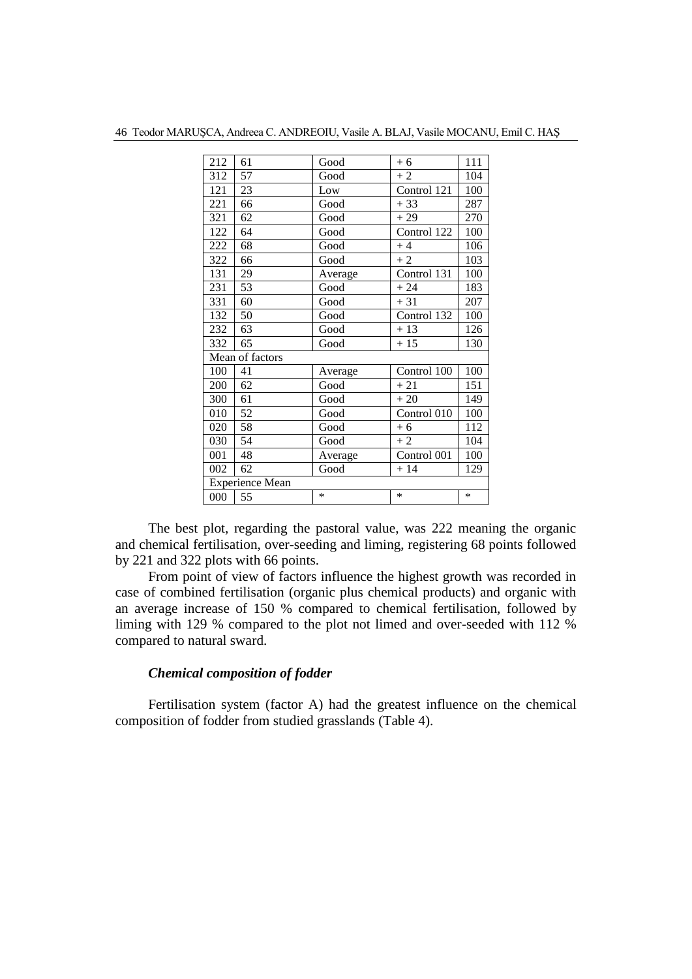| 212 | 61                     | Good    | $+6$        | 111 |
|-----|------------------------|---------|-------------|-----|
| 312 | 57                     | Good    | $+2$        | 104 |
| 121 | 23                     | Low     | Control 121 | 100 |
| 221 | 66                     | Good    | $+33$       | 287 |
| 321 | 62                     | Good    | $+29$       | 270 |
| 122 | 64                     | Good    | Control 122 | 100 |
| 222 | 68                     | Good    | $+4$        | 106 |
| 322 | 66                     | Good    | $+2$        | 103 |
| 131 | 29                     | Average | Control 131 | 100 |
| 231 | 53                     | Good    | $+24$       | 183 |
| 331 | 60                     | Good    | $+31$       | 207 |
| 132 | 50                     | Good    | Control 132 | 100 |
| 232 | 63                     | Good    | $+13$       | 126 |
| 332 | 65                     | Good    | $+15$       | 130 |
|     | Mean of factors        |         |             |     |
| 100 | 41                     | Average | Control 100 | 100 |
| 200 | 62                     | Good    | $+21$       | 151 |
| 300 | 61                     | Good    | $+20$       | 149 |
| 010 | 52                     | Good    | Control 010 | 100 |
| 020 | 58                     | Good    | $+6$        | 112 |
| 030 | 54                     | Good    | $+2$        | 104 |
| 001 | 48                     | Average | Control 001 | 100 |
| 002 | 62                     | Good    | $+14$       | 129 |
|     | <b>Experience Mean</b> |         |             |     |
| 000 | 55                     | $\ast$  | *           | *   |

Teodor MARUŞCA, Andreea C. ANDREOIU, Vasile A. BLAJ, Vasile MOCANU, Emil C. HAŞ

The best plot, regarding the pastoral value, was 222 meaning the organic and chemical fertilisation, over-seeding and liming, registering 68 points followed by 221 and 322 plots with 66 points.

From point of view of factors influence the highest growth was recorded in case of combined fertilisation (organic plus chemical products) and organic with an average increase of 150 % compared to chemical fertilisation, followed by liming with 129 % compared to the plot not limed and over-seeded with 112 % compared to natural sward.

### *Chemical composition of fodder*

Fertilisation system (factor A) had the greatest influence on the chemical composition of fodder from studied grasslands (Table 4).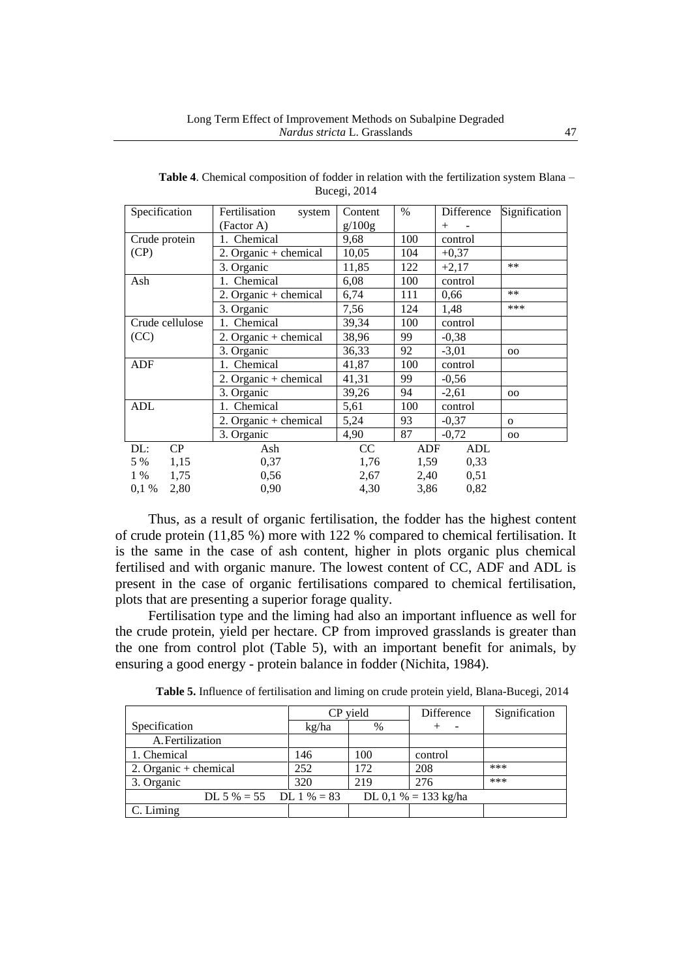| Specification   | Fertilisation<br>system | Content | $\%$ | Difference   | Signification  |
|-----------------|-------------------------|---------|------|--------------|----------------|
|                 | (Factor A)              | g/100g  |      | $^{+}$       |                |
| Crude protein   | 1. Chemical             | 9,68    | 100  | control      |                |
| (CP)            | 2. Organic + chemical   | 10,05   | 104  | $+0,37$      |                |
|                 | 3. Organic              | 11,85   | 122  | $+2,17$      | $**$           |
| Ash             | 1. Chemical             | 6,08    | 100  | control      |                |
|                 | 2. Organic + chemical   | 6,74    | 111  | 0,66         | $**$           |
|                 | 3. Organic              | 7,56    | 124  | 1,48         | ***            |
| Crude cellulose | 1. Chemical             | 39,34   | 100  | control      |                |
| (CC)            | 2. Organic + chemical   | 38,96   | 99   | $-0,38$      |                |
|                 | 3. Organic              | 36,33   | 92   | $-3,01$      | 00             |
| <b>ADF</b>      | 1. Chemical             | 41,87   | 100  | control      |                |
|                 | 2. Organic $+$ chemical | 41,31   | 99   | $-0,56$      |                |
|                 | 3. Organic              | 39,26   | 94   | $-2,61$      | 00             |
| <b>ADL</b>      | 1. Chemical             | 5,61    | 100  | control      |                |
|                 | 2. Organic $+$ chemical | 5,24    | 93   | $-0,37$      | $\mathbf{O}$   |
|                 | 3. Organic              | 4,90    | 87   | $-0,72$      | 0 <sub>0</sub> |
| CP<br>DL:       | Ash                     | CC      | ADF  | ADL          |                |
| 5 % 1,15        | 0,37                    | 1,76    |      | 1,59<br>0,33 |                |
| 1,75<br>1 %     | 0,56                    | 2,67    | 2,40 | 0,51         |                |
| 2,80<br>0,1%    | 0.90                    | 4,30    | 3,86 | 0,82         |                |

**Table 4**. Chemical composition of fodder in relation with the fertilization system Blana – Bucegi, 2014

Thus, as a result of organic fertilisation, the fodder has the highest content of crude protein (11,85 %) more with 122 % compared to chemical fertilisation. It is the same in the case of ash content, higher in plots organic plus chemical fertilised and with organic manure. The lowest content of CC, ADF and ADL is present in the case of organic fertilisations compared to chemical fertilisation, plots that are presenting a superior forage quality.

Fertilisation type and the liming had also an important influence as well for the crude protein, yield per hectare. CP from improved grasslands is greater than the one from control plot (Table 5), with an important benefit for animals, by ensuring a good energy - protein balance in fodder (Nichita, 1984).

|                         |       | CP yield | Difference           | Signification |
|-------------------------|-------|----------|----------------------|---------------|
| Specification           | kg/ha | $\%$     |                      |               |
| A. Fertilization        |       |          |                      |               |
| 1. Chemical             | 146   | 100      | control              |               |
| 2. Organic + chemical   | 252   | 172      | 208                  | ***           |
| 3. Organic              | 320   | 219      | 276                  | ***           |
| DL 5 % = 55 DL 1 % = 83 |       |          | DL 0,1 % = 133 kg/ha |               |
| C. Liming               |       |          |                      |               |

**Table 5.** Influence of fertilisation and liming on crude protein yield, Blana-Bucegi, 2014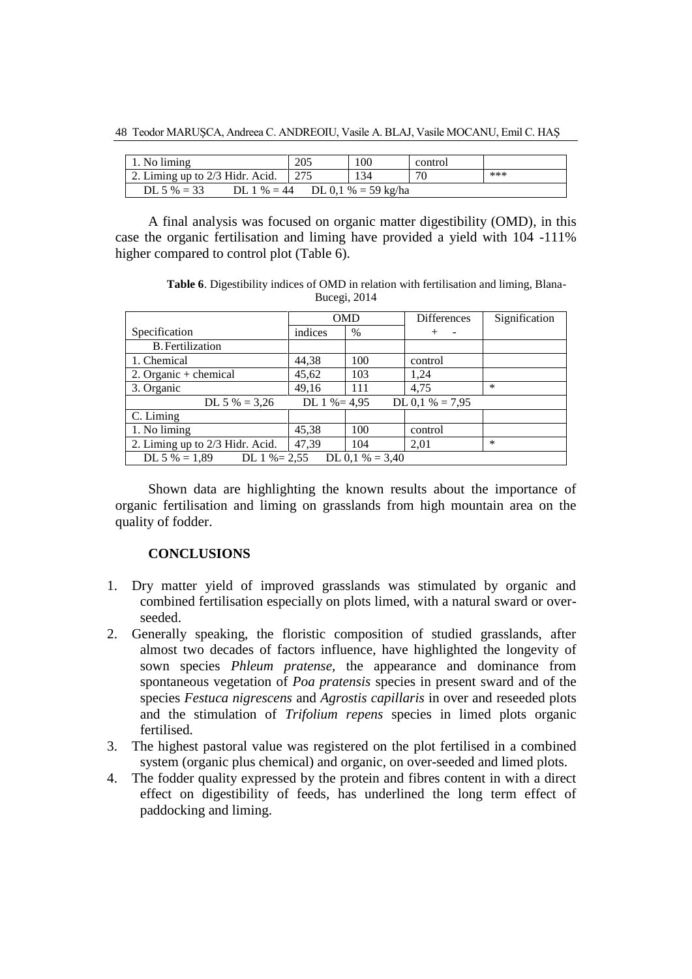48 Teodor MARUŞCA, Andreea C. ANDREOIU, Vasile A. BLAJ, Vasile MOCANU, Emil C. HAŞ

| $\vert$ 1. No liming                                  | 205 | 100 | control |     |  |  |  |
|-------------------------------------------------------|-----|-----|---------|-----|--|--|--|
| 2. Liming up to 2/3 Hidr. Acid.                       |     | 134 | 70      | *** |  |  |  |
| DL 0,1 % = 59 kg/ha<br>DL 5 $% = 33$<br>DL 1 $% = 44$ |     |     |         |     |  |  |  |

A final analysis was focused on organic matter digestibility (OMD), in this case the organic fertilisation and liming have provided a yield with 104 -111% higher compared to control plot (Table 6).

**Table 6**. Digestibility indices of OMD in relation with fertilisation and liming, Blana-Bucegi, 2014

|                                 | <b>OMD</b>      |                               | <b>Differences</b> | Signification |
|---------------------------------|-----------------|-------------------------------|--------------------|---------------|
| Specification                   | indices         | $\frac{0}{0}$                 |                    |               |
| <b>B.</b> Fertilization         |                 |                               |                    |               |
| 1. Chemical                     | 44,38           | 100                           | control            |               |
| 2. Organic + chemical           | 45,62           | 103                           | 1,24               |               |
| 3. Organic                      | 49.16           | 111                           | 4.75               | $\ast$        |
| DL 5 % = $3,26$                 | DL $1\% = 4.95$ |                               | DL 0,1 % = $7,95$  |               |
| C. Liming                       |                 |                               |                    |               |
| 1. No liming                    | 45,38           | 100                           | control            |               |
| 2. Liming up to 2/3 Hidr. Acid. | 47,39           | 104                           | 2,01               | $\ast$        |
| DL 5 % $= 1,89$                 |                 | DL 1 % = 2,55 DL 0,1 % = 3,40 |                    |               |

Shown data are highlighting the known results about the importance of organic fertilisation and liming on grasslands from high mountain area on the quality of fodder.

#### **CONCLUSIONS**

- 1. Dry matter yield of improved grasslands was stimulated by organic and combined fertilisation especially on plots limed, with a natural sward or overseeded.
- 2. Generally speaking, the floristic composition of studied grasslands, after almost two decades of factors influence, have highlighted the longevity of sown species *Phleum pratense,* the appearance and dominance from spontaneous vegetation of *Poa pratensis* species in present sward and of the species *Festuca nigrescens* and *Agrostis capillaris* in over and reseeded plots and the stimulation of *Trifolium repens* species in limed plots organic fertilised.
- 3. The highest pastoral value was registered on the plot fertilised in a combined system (organic plus chemical) and organic, on over-seeded and limed plots.
- 4. The fodder quality expressed by the protein and fibres content in with a direct effect on digestibility of feeds, has underlined the long term effect of paddocking and liming.